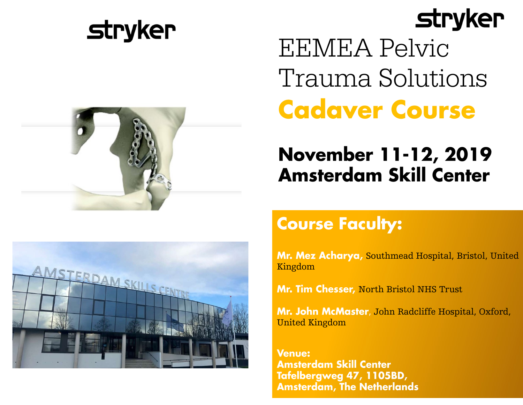

# **stryker**





**EEMEA Pelvic** Trauma Solutions **Cadaver Course** 

## **November 11-12, 2019 Amsterdam Skill Center**

## **Course Faculty:**

Mr. Mez Acharya, Southmead Hospital, Bristol, United Kingdom

Mr. Tim Chesser, North Bristol NHS Trust

Mr. John McMaster, John Radcliffe Hospital, Oxford, United Kingdom

**Venue: Amsterdam Skill Center** Tafelbergweg 47, 1105BD, **Amsterdam, The Netherlands**